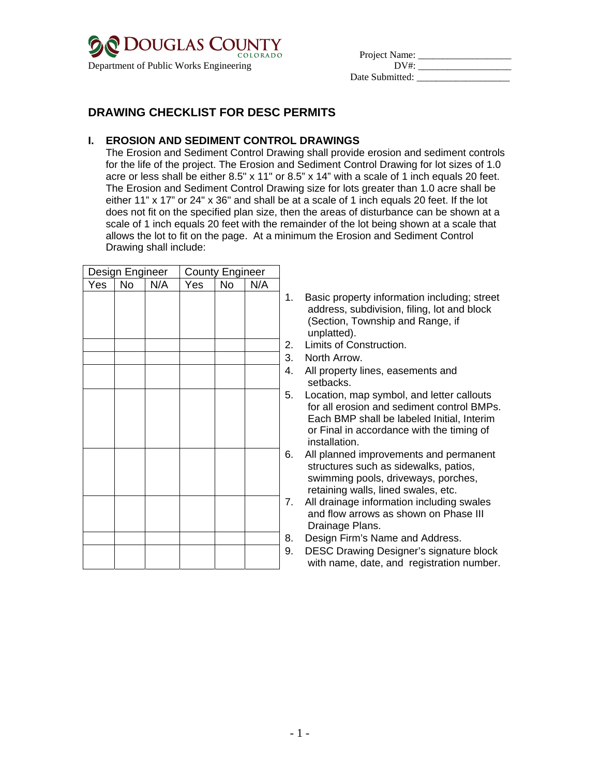

| <b>EXECUTE TO COLORADO</b>             | COLORADO | Project Name:   |  |
|----------------------------------------|----------|-----------------|--|
| Department of Public Works Engineering |          | DV#·            |  |
|                                        |          | Date Submitted: |  |

# **DRAWING CHECKLIST FOR DESC PERMITS**

## **I. EROSION AND SEDIMENT CONTROL DRAWINGS**

The Erosion and Sediment Control Drawing shall provide erosion and sediment controls for the life of the project. The Erosion and Sediment Control Drawing for lot sizes of 1.0 acre or less shall be either  $8.5" \times 11"$  or  $8.5" \times 14"$  with a scale of 1 inch equals 20 feet. The Erosion and Sediment Control Drawing size for lots greater than 1.0 acre shall be either 11" x 17" or 24" x 36" and shall be at a scale of 1 inch equals 20 feet. If the lot does not fit on the specified plan size, then the areas of disturbance can be shown at a scale of 1 inch equals 20 feet with the remainder of the lot being shown at a scale that allows the lot to fit on the page. At a minimum the Erosion and Sediment Control Drawing shall include:

| Design Engineer |    |     |     | <b>County Engineer</b> |     |                      |
|-----------------|----|-----|-----|------------------------|-----|----------------------|
| Yes             | No | N/A | Yes | No                     | N/A |                      |
|                 |    |     |     |                        |     | í                    |
|                 |    |     |     |                        |     |                      |
|                 |    |     |     |                        |     |                      |
|                 |    |     |     |                        |     |                      |
|                 |    |     |     |                        |     | $\sim$ $\sim$ $\sim$ |
|                 |    |     |     |                        |     |                      |
|                 |    |     |     |                        |     |                      |
|                 |    |     |     |                        |     | $\ddot{\cdot}$       |
|                 |    |     |     |                        |     |                      |
|                 |    |     |     |                        |     |                      |
|                 |    |     |     |                        |     |                      |
|                 |    |     |     |                        |     | 6                    |
|                 |    |     |     |                        |     |                      |
|                 |    |     |     |                        |     |                      |
|                 |    |     |     |                        |     | 7                    |
|                 |    |     |     |                        |     |                      |
|                 |    |     |     |                        |     |                      |
|                 |    |     |     |                        |     | ع<br>ڊ               |
|                 |    |     |     |                        |     |                      |
|                 |    |     |     |                        |     |                      |

- Basic property information including; street address, subdivision, filing, lot and block (Section, Township and Range, if unplatted).
- 2. Limits of Construction.
- 3. North Arrow.
- 4. All property lines, easements and setbacks.
- 5. Location, map symbol, and letter callouts for all erosion and sediment control BMPs. Each BMP shall be labeled Initial, Interim or Final in accordance with the timing of installation.
- 6. All planned improvements and permanent structures such as sidewalks, patios, swimming pools, driveways, porches, retaining walls, lined swales, etc.
- 7. All drainage information including swales and flow arrows as shown on Phase III Drainage Plans.
- 8. Design Firm's Name and Address.
- 9. DESC Drawing Designer's signature block with name, date, and registration number.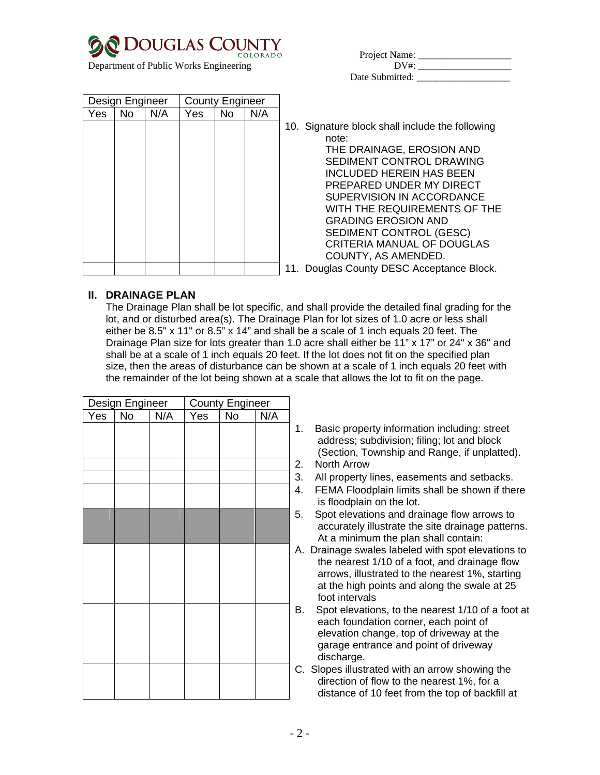| <b>DOUGLAS COUNTY</b> | COLORADO |
|-----------------------|----------|
|                       |          |

| COLORADO COLORADO                      | COLORADO | Project Name:   |  |
|----------------------------------------|----------|-----------------|--|
| Department of Public Works Engineering |          | DV#·            |  |
|                                        |          | Date Submitted: |  |

|     | Design Engineer |     | <b>County Engineer</b> |     |     |                                                                                                                                                                                                                                                                                                                                                             |
|-----|-----------------|-----|------------------------|-----|-----|-------------------------------------------------------------------------------------------------------------------------------------------------------------------------------------------------------------------------------------------------------------------------------------------------------------------------------------------------------------|
| Yes | No.             | N/A | Yes.                   | No. | N/A |                                                                                                                                                                                                                                                                                                                                                             |
|     |                 |     |                        |     |     | 10. Signature block shall include the following<br>note:<br>THE DRAINAGE, EROSION AND<br>SEDIMENT CONTROL DRAWING<br><b>INCLUDED HEREIN HAS BEEN</b><br>PREPARED UNDER MY DIRECT<br>SUPERVISION IN ACCORDANCE<br>WITH THE REQUIREMENTS OF THE<br><b>GRADING EROSION AND</b><br>SEDIMENT CONTROL (GESC)<br>CRITERIA MANUAL OF DOUGLAS<br>COUNTY, AS AMENDED. |
|     |                 |     |                        |     |     | 11. Douglas County DESC Acceptance Block.                                                                                                                                                                                                                                                                                                                   |

#### **II. DRAINAGE PLAN**

The Drainage Plan shall be lot specific, and shall provide the detailed final grading for the lot, and or disturbed area(s). The Drainage Plan for lot sizes of 1.0 acre or less shall either be 8.5" x 11" or 8.5" x 14" and shall be a scale of 1 inch equals 20 feet. The Drainage Plan size for lots greater than 1.0 acre shall either be 11" x 17" or 24" x 36" and shall be at a scale of 1 inch equals 20 feet. If the lot does not fit on the specified plan size, then the areas of disturbance can be shown at a scale of 1 inch equals 20 feet with the remainder of the lot being shown at a scale that allows the lot to fit on the page.

|     | Design Engineer |     |     | <b>County Engineer</b> |     |                |
|-----|-----------------|-----|-----|------------------------|-----|----------------|
| Yes | No              | N/A | Yes | $\overline{N}$         | N/A |                |
|     |                 |     |     |                        |     |                |
|     |                 |     |     |                        |     |                |
|     |                 |     |     |                        |     |                |
|     |                 |     |     |                        |     | $\frac{1}{2}$  |
|     |                 |     |     |                        |     |                |
|     |                 |     |     |                        |     |                |
|     |                 |     |     |                        |     | $\ddot{\cdot}$ |
|     |                 |     |     |                        |     |                |
|     |                 |     |     |                        |     |                |
|     |                 |     |     |                        |     | ı              |
|     |                 |     |     |                        |     |                |
|     |                 |     |     |                        |     |                |
|     |                 |     |     |                        |     |                |
|     |                 |     |     |                        |     | ŀ              |
|     |                 |     |     |                        |     |                |
|     |                 |     |     |                        |     |                |
|     |                 |     |     |                        |     |                |
|     |                 |     |     |                        |     |                |
|     |                 |     |     |                        |     | (              |
|     |                 |     |     |                        |     |                |
|     |                 |     |     |                        |     |                |

- 1. Basic property information including: street address; subdivision; filing; lot and block (Section, Township and Range, if unplatted). 2. North Arrow
- 3. All property lines, easements and setbacks.
- 4. FEMA Floodplain limits shall be shown if there is floodplain on the lot.
- 5. Spot elevations and drainage flow arrows to accurately illustrate the site drainage patterns. At a minimum the plan shall contain:
- A. Drainage swales labeled with spot elevations to the nearest 1/10 of a foot, and drainage flow arrows, illustrated to the nearest 1%, starting at the high points and along the swale at 25 foot intervals
- B. Spot elevations, to the nearest 1/10 of a foot at each foundation corner, each point of elevation change, top of driveway at the garage entrance and point of driveway discharge.
- C. Slopes illustrated with an arrow showing the direction of flow to the nearest 1%, for a distance of 10 feet from the top of backfill at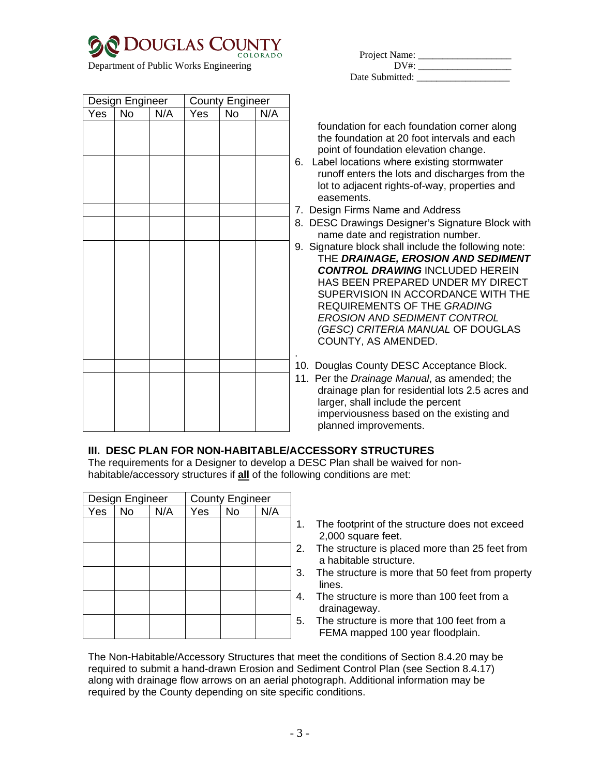

| Design Engineer |    | <b>County Engineer</b> |     |    |     |                  |
|-----------------|----|------------------------|-----|----|-----|------------------|
| Yes             | No | N/A                    | Yes | No | N/A |                  |
|                 |    |                        |     |    |     |                  |
|                 |    |                        |     |    |     |                  |
|                 |    |                        |     |    |     |                  |
|                 |    |                        |     |    |     | 6                |
|                 |    |                        |     |    |     |                  |
|                 |    |                        |     |    |     |                  |
|                 |    |                        |     |    |     |                  |
|                 |    |                        |     |    |     | $\frac{7}{8}$    |
|                 |    |                        |     |    |     |                  |
|                 |    |                        |     |    |     | 9                |
|                 |    |                        |     |    |     |                  |
|                 |    |                        |     |    |     |                  |
|                 |    |                        |     |    |     |                  |
|                 |    |                        |     |    |     |                  |
|                 |    |                        |     |    |     |                  |
|                 |    |                        |     |    |     |                  |
|                 |    |                        |     |    |     |                  |
|                 |    |                        |     |    |     |                  |
|                 |    |                        |     |    |     | 1<br>$\mathbf 1$ |
|                 |    |                        |     |    |     |                  |
|                 |    |                        |     |    |     |                  |
|                 |    |                        |     |    |     |                  |
|                 |    |                        |     |    |     |                  |

| COLORADO                               | COLORADO | Project Name:   |  |
|----------------------------------------|----------|-----------------|--|
| Department of Public Works Engineering |          | DV#·            |  |
|                                        |          | Date Submitted: |  |

foundation for each foundation corner along the foundation at 20 foot intervals and each point of foundation elevation change.

- 6. Label locations where existing stormwater runoff enters the lots and discharges from the lot to adjacent rights-of-way, properties and easements.
- 7. Design Firms Name and Address
- 8. DESC Drawings Designer's Signature Block with name date and registration number.
- 9. Signature block shall include the following note: THE *DRAINAGE, EROSION AND SEDIMENT CONTROL DRAWING* INCLUDED HEREIN HAS BEEN PREPARED UNDER MY DIRECT SUPERVISION IN ACCORDANCE WITH THE REQUIREMENTS OF THE *GRADING EROSION AND SEDIMENT CONTROL (GESC) CRITERIA MANUAL* OF DOUGLAS COUNTY, AS AMENDED.
- 10. Douglas County DESC Acceptance Block.
- 11. Per the *Drainage Manual*, as amended; the drainage plan for residential lots 2.5 acres and larger, shall include the percent imperviousness based on the existing and planned improvements.

### **III. DESC PLAN FOR NON-HABITABLE/ACCESSORY STRUCTURES**

The requirements for a Designer to develop a DESC Plan shall be waived for nonhabitable/accessory structures if **all** of the following conditions are met:

| Design Engineer |           |     |     | <b>County Engineer</b> |     |  |
|-----------------|-----------|-----|-----|------------------------|-----|--|
| Yes             | <b>No</b> | N/A | Yes | <b>No</b>              | N/A |  |
|                 |           |     |     |                        |     |  |
|                 |           |     |     |                        |     |  |
|                 |           |     |     |                        |     |  |
|                 |           |     |     |                        |     |  |
|                 |           |     |     |                        |     |  |
|                 |           |     |     |                        |     |  |
|                 |           |     |     |                        |     |  |
|                 |           |     |     |                        |     |  |
|                 |           |     |     |                        |     |  |
|                 |           |     |     |                        |     |  |

- 1. The footprint of the structure does not exceed 2,000 square feet.
- 2. The structure is placed more than 25 feet from a habitable structure.
- 3. The structure is more that 50 feet from property lines.
- 4. The structure is more than 100 feet from a drainageway.
- 5. The structure is more that 100 feet from a FEMA mapped 100 year floodplain.

The Non-Habitable/Accessory Structures that meet the conditions of Section 8.4.20 may be required to submit a hand-drawn Erosion and Sediment Control Plan (see Section 8.4.17) along with drainage flow arrows on an aerial photograph. Additional information may be required by the County depending on site specific conditions.